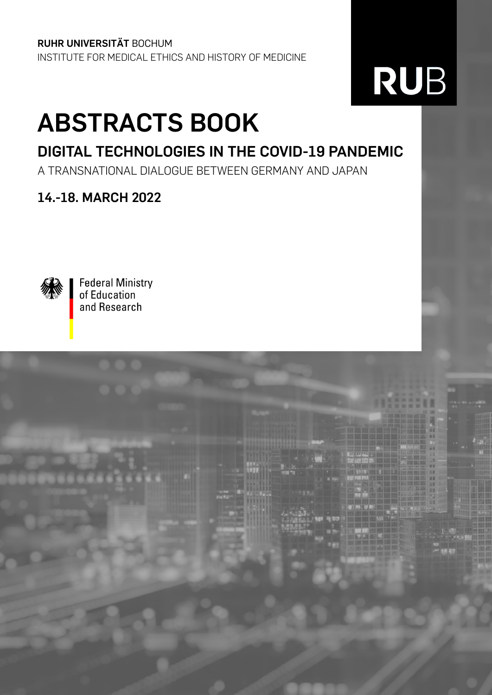**RUHR UNIVERSITÄT** BOCHUM INSTITUTE FOR MEDICAL ETHICS AND HISTORY OF MEDICINE

## RUB

## **ABSTRACTS BOOK**

## **DIGITAL TECHNOLOGIES IN THE COVID-19 PANDEMIC**

A TRANSNATIONAL DIALOGUE BETWEEN GERMANY AND JAPAN

## **14.-18. MARCH 2022**



**Federal Ministry** of Education and Research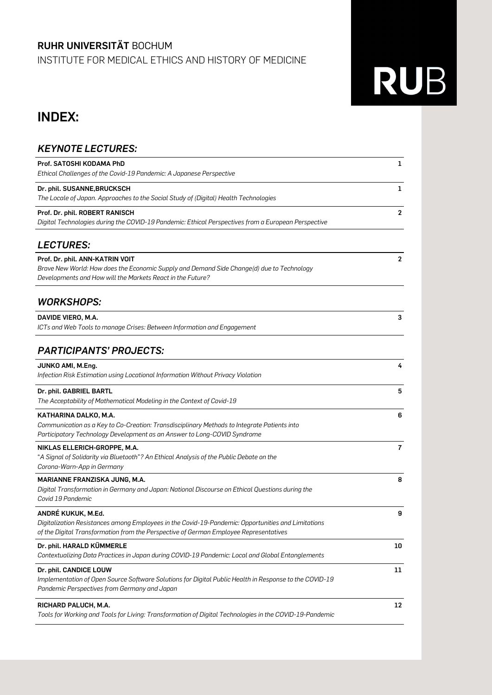#### **RUHR UNIVERSITÄT** BOCHUM

INSTITUTE FOR MEDICAL ETHICS AND HISTORY OF MEDICINE

# RUB

## **INDEX:**

| <b>KEYNOTE LECTURES:</b>                                                                                                                                                                                          |                |
|-------------------------------------------------------------------------------------------------------------------------------------------------------------------------------------------------------------------|----------------|
| Prof. SATOSHI KODAMA PhD<br>Ethical Challenges of the Covid-19 Pandemic: A Japanese Perspective                                                                                                                   | 1              |
| Dr. phil. SUSANNE, BRUCKSCH<br>The Locale of Japan. Approaches to the Social Study of (Digital) Health Technologies                                                                                               | 1              |
| Prof. Dr. phil. ROBERT RANISCH<br>Digital Technologies during the COVID-19 Pandemic: Ethical Perspectives from a European Perspective                                                                             | 2              |
| <b>LECTURES:</b>                                                                                                                                                                                                  |                |
| Prof. Dr. phil. ANN-KATRIN VOIT<br>Brave New World: How does the Economic Supply and Demand Side Change(d) due to Technology<br>Developments and How will the Markets React in the Future?                        | $\mathbf{2}$   |
| <b>WORKSHOPS:</b>                                                                                                                                                                                                 |                |
| DAVIDE VIERO, M.A.<br>ICTs and Web Tools to manage Crises: Between Information and Engagement                                                                                                                     | 3              |
| <b>PARTICIPANTS' PROJECTS:</b>                                                                                                                                                                                    |                |
| JUNKO AMI, M.Eng.<br>Infection Risk Estimation using Locational Information Without Privacy Violation                                                                                                             | 4              |
| Dr. phil. GABRIEL BARTL<br>The Acceptability of Mathematical Modeling in the Context of Covid-19                                                                                                                  | 5              |
| KATHARINA DALKO, M.A.<br>Communication as a Key to Co-Creation: Transdisciplinary Methods to Integrate Patients into<br>Participatory Technology Development as an Answer to Long-COVID Syndrome                  | 6              |
| NIKLAS ELLERICH-GROPPE, M.A.<br>"A Signal of Solidarity via Bluetooth"? An Ethical Analysis of the Public Debate on the<br>Corona-Warn-App in Germany                                                             | $\overline{7}$ |
| MARIANNE FRANZISKA JUNG, M.A.<br>Digital Transformation in Germany and Japan: National Discourse on Ethical Questions during the<br>Covid 19 Pandemic                                                             | 8              |
| ANDRÉ KUKUK, M.Ed.<br>Digitalization Resistances among Employees in the Covid-19-Pandemic: Opportunities and Limitations<br>of the Digital Transformation from the Perspective of German Employee Representatives | 9              |
| Dr. phil. HARALD KÜMMERLE<br>Contextualizing Data Practices in Japan during COVID-19 Pandemic: Local and Global Entanglements                                                                                     | 10             |
| Dr. phil. CANDICE LOUW<br>Implementation of Open Source Software Solutions for Digital Public Health in Response to the COVID-19<br>Pandemic Perspectives from Germany and Japan                                  | 11             |
| RICHARD PALUCH, M.A.<br>Tools for Working and Tools for Living: Transformation of Digital Technologies in the COVID-19-Pandemic                                                                                   | 12             |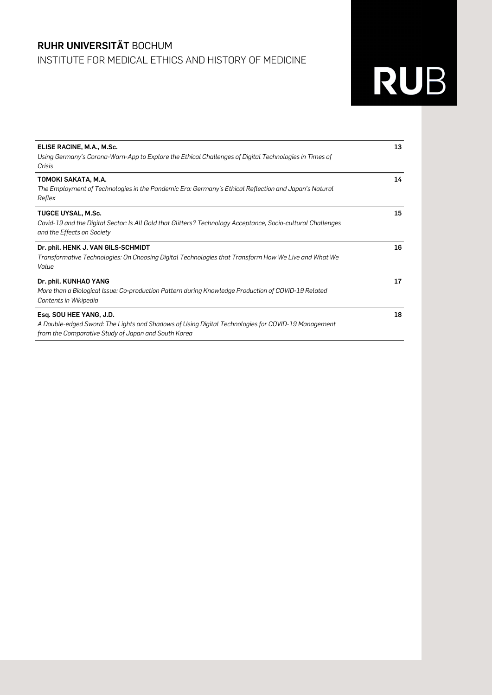### **RUHR UNIVERSITÄT** BOCHUM INSTITUTE FOR MEDICAL ETHICS AND HISTORY OF MEDICINE

| 13 |
|----|
| 14 |
| 15 |
| 16 |
| 17 |
| 18 |
|    |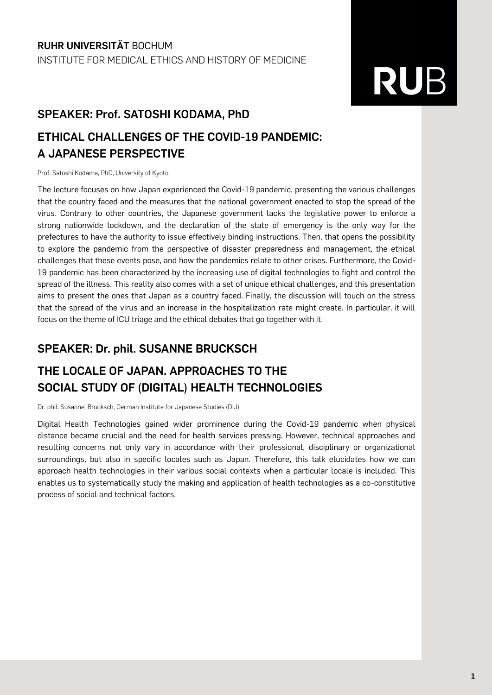### **SPEAKER: Prof. SATOSHI KODAMA, PhD**

## **ETHICAL CHALLENGES OF THE COVID-19 PANDEMIC: A JAPANESE PERSPECTIVE**

Prof. Satoshi Kodama, PhD, University of Kyoto

The lecture focuses on how Japan experienced the Covid-19 pandemic, presenting the various challenges that the country faced and the measures that the national government enacted to stop the spread of the virus. Contrary to other countries, the Japanese government lacks the legislative power to enforce a strong nationwide lockdown, and the declaration of the state of emergency is the only way for the prefectures to have the authority to issue effectively binding instructions. Then, that opens the possibility to explore the pandemic from the perspective of disaster preparedness and management, the ethical challenges that these events pose, and how the pandemics relate to other crises. Furthermore, the Covid-19 pandemic has been characterized by the increasing use of digital technologies to fight and control the spread of the illness. This reality also comes with a set of unique ethical challenges, and this presentation aims to present the ones that Japan as a country faced. Finally, the discussion will touch on the stress that the spread of the virus and an increase in the hospitalization rate might create. In particular, it will focus on the theme of ICU triage and the ethical debates that go together with it.

### **SPEAKER: Dr. phil. SUSANNE BRUCKSCH**

## **THE LOCALE OF JAPAN. APPROACHES TO THE SOCIAL STUDY OF (DIGITAL) HEALTH TECHNOLOGIES**

Dr. phil. Susanne, Brucksch, German Institute for Japanese Studies (DIJ)

Digital Health Technologies gained wider prominence during the Covid-19 pandemic when physical distance became crucial and the need for health services pressing. However, technical approaches and resulting concerns not only vary in accordance with their professional, disciplinary or organizational surroundings, but also in specific locales such as Japan. Therefore, this talk elucidates how we can approach health technologies in their various social contexts when a particular locale is included. This enables us to systematically study the making and application of health technologies as a co-constitutive process of social and technical factors.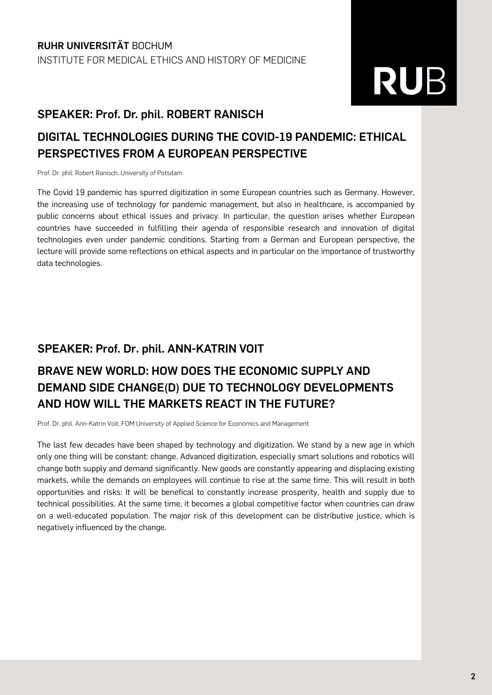#### **SPEAKER: Prof. Dr. phil. ROBERT RANISCH**

### **DIGITAL TECHNOLOGIES DURING THE COVID-19 PANDEMIC: ETHICAL PERSPECTIVES FROM A EUROPEAN PERSPECTIVE**

Prof. Dr. phil. Robert Ranisch, University of Potsdam

The Covid 19 pandemic has spurred digitization in some European countries such as Germany. However, the increasing use of technology for pandemic management, but also in healthcare, is accompanied by public concerns about ethical issues and privacy. In particular, the question arises whether European countries have succeeded in fulfilling their agenda of responsible research and innovation of digital technologies even under pandemic conditions. Starting from a German and European perspective, the lecture will provide some reflections on ethical aspects and in particular on the importance of trustworthy data technologies.

#### **SPEAKER: Prof. Dr. phil. ANN-KATRIN VOIT**

## **BRAVE NEW WORLD: HOW DOES THE ECONOMIC SUPPLY AND DEMAND SIDE CHANGE(D) DUE TO TECHNOLOGY DEVELOPMENTS AND HOW WILL THE MARKETS REACT IN THE FUTURE?**

Prof. Dr. phil. Ann-Katrin Voit, FOM University of Applied Science for Economics and Management

The last few decades have been shaped by technology and digitization. We stand by a new age in which only one thing will be constant: change. Advanced digitization, especially smart solutions and robotics will change both supply and demand significantly. New goods are constantly appearing and displacing existing markets, while the demands on employees will continue to rise at the same time. This will result in both opportunities and risks: It will be benefical to constantly increase prosperity, health and supply due to technical possibilities. At the same time, it becomes a global competitive factor when countries can draw on a well-educated population. The major risk of this development can be distributive justice, which is negatively influenced by the change.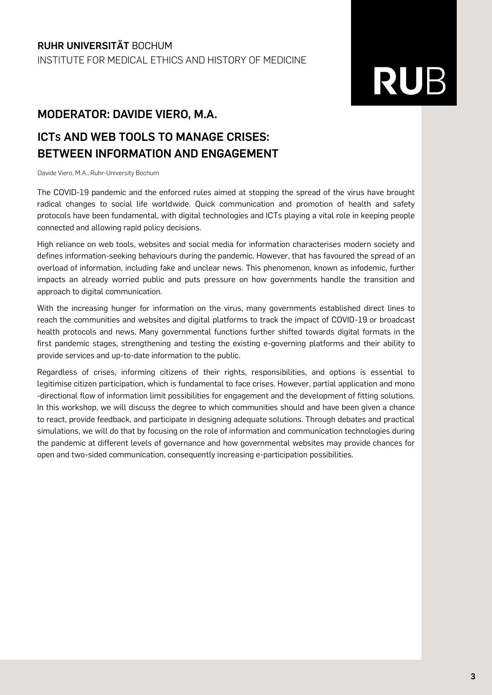### **MODERATOR: DAVIDE VIERO, M.A.**

### **ICTS AND WEB TOOLS TO MANAGE CRISES: BETWEEN INFORMATION AND ENGAGEMENT**

Davide Viero, M.A., Ruhr-University Bochum

The COVID-19 pandemic and the enforced rules aimed at stopping the spread of the virus have brought radical changes to social life worldwide. Quick communication and promotion of health and safety protocols have been fundamental, with digital technologies and ICTs playing a vital role in keeping people connected and allowing rapid policy decisions.

High reliance on web tools, websites and social media for information characterises modern society and defines information-seeking behaviours during the pandemic. However, that has favoured the spread of an overload of information, including fake and unclear news. This phenomenon, known as infodemic, further impacts an already worried public and puts pressure on how governments handle the transition and approach to digital communication.

With the increasing hunger for information on the virus, many governments established direct lines to reach the communities and websites and digital platforms to track the impact of COVID-19 or broadcast health protocols and news. Many governmental functions further shifted towards digital formats in the first pandemic stages, strengthening and testing the existing e-governing platforms and their ability to provide services and up-to-date information to the public.

Regardless of crises, informing citizens of their rights, responsibilities, and options is essential to legitimise citizen participation, which is fundamental to face crises. However, partial application and mono -directional flow of information limit possibilities for engagement and the development of fitting solutions. In this workshop, we will discuss the degree to which communities should and have been given a chance to react, provide feedback, and participate in designing adequate solutions. Through debates and practical simulations, we will do that by focusing on the role of information and communication technologies during the pandemic at different levels of governance and how governmental websites may provide chances for open and two-sided communication, consequently increasing e-participation possibilities.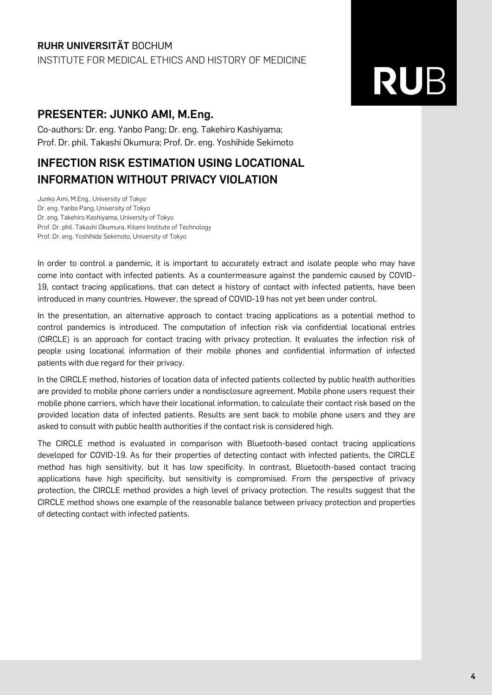#### **RUHR UNIVERSITÄT** BOCHUM INSTITUTE FOR MEDICAL ETHICS AND HISTORY OF MEDICINE

# **RUB**

### **PRESENTER: JUNKO AMI, M.Eng.**

Co-authors: Dr. eng. Yanbo Pang; Dr. eng. Takehiro Kashiyama; Prof. Dr. phil. Takashi Okumura; Prof. Dr. eng. Yoshihide Sekimoto

### **INFECTION RISK ESTIMATION USING LOCATIONAL INFORMATION WITHOUT PRIVACY VIOLATION**

Junko Ami, M.Eng., University of Tokyo Dr. eng. Yanbo Pang, University of Tokyo Dr. eng. Takehiro Kashiyama, University of Tokyo Prof. Dr. phil. Takashi Okumura, Kitami Institute of Technology Prof. Dr. eng. Yoshihide Sekimoto, University of Tokyo

In order to control a pandemic, it is important to accurately extract and isolate people who may have come into contact with infected patients. As a countermeasure against the pandemic caused by COVID-19, contact tracing applications, that can detect a history of contact with infected patients, have been introduced in many countries. However, the spread of COVID-19 has not yet been under control.

In the presentation, an alternative approach to contact tracing applications as a potential method to control pandemics is introduced. The computation of infection risk via confidential locational entries (CIRCLE) is an approach for contact tracing with privacy protection. It evaluates the infection risk of people using locational information of their mobile phones and confidential information of infected patients with due regard for their privacy.

In the CIRCLE method, histories of location data of infected patients collected by public health authorities are provided to mobile phone carriers under a nondisclosure agreement. Mobile phone users request their mobile phone carriers, which have their locational information, to calculate their contact risk based on the provided location data of infected patients. Results are sent back to mobile phone users and they are asked to consult with public health authorities if the contact risk is considered high.

The CIRCLE method is evaluated in comparison with Bluetooth-based contact tracing applications developed for COVID-19. As for their properties of detecting contact with infected patients, the CIRCLE method has high sensitivity, but it has low specificity. In contrast, Bluetooth-based contact tracing applications have high specificity, but sensitivity is compromised. From the perspective of privacy protection, the CIRCLE method provides a high level of privacy protection. The results suggest that the CIRCLE method shows one example of the reasonable balance between privacy protection and properties of detecting contact with infected patients.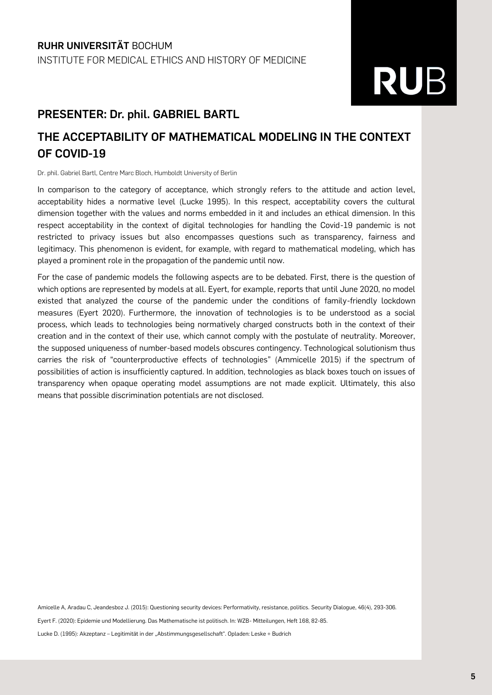#### **PRESENTER: Dr. phil. GABRIEL BARTL**

### **THE ACCEPTABILITY OF MATHEMATICAL MODELING IN THE CONTEXT OF COVID-19**

Dr. phil. Gabriel Bartl, Centre Marc Bloch, Humboldt University of Berlin

In comparison to the category of acceptance, which strongly refers to the attitude and action level, acceptability hides a normative level (Lucke 1995). In this respect, acceptability covers the cultural dimension together with the values and norms embedded in it and includes an ethical dimension. In this respect acceptability in the context of digital technologies for handling the Covid-19 pandemic is not restricted to privacy issues but also encompasses questions such as transparency, fairness and legitimacy. This phenomenon is evident, for example, with regard to mathematical modeling, which has played a prominent role in the propagation of the pandemic until now.

For the case of pandemic models the following aspects are to be debated. First, there is the question of which options are represented by models at all. Eyert, for example, reports that until June 2020, no model existed that analyzed the course of the pandemic under the conditions of family-friendly lockdown measures (Eyert 2020). Furthermore, the innovation of technologies is to be understood as a social process, which leads to technologies being normatively charged constructs both in the context of their creation and in the context of their use, which cannot comply with the postulate of neutrality. Moreover, the supposed uniqueness of number-based models obscures contingency. Technological solutionism thus carries the risk of "counterproductive effects of technologies" (Ammicelle 2015) if the spectrum of possibilities of action is insufficiently captured. In addition, technologies as black boxes touch on issues of transparency when opaque operating model assumptions are not made explicit. Ultimately, this also means that possible discrimination potentials are not disclosed.

Amicelle A, Aradau C, Jeandesboz J. (2015): Questioning security devices: Performativity, resistance, politics. Security Dialogue, 46(4), 293-306. Eyert F. (2020): Epidemie und Modellierung. Das Mathematische ist politisch. In: WZB- Mitteilungen, Heft 168, 82-85. Lucke D. (1995): Akzeptanz - Legitimität in der "Abstimmungsgesellschaft". Opladen: Leske + Budrich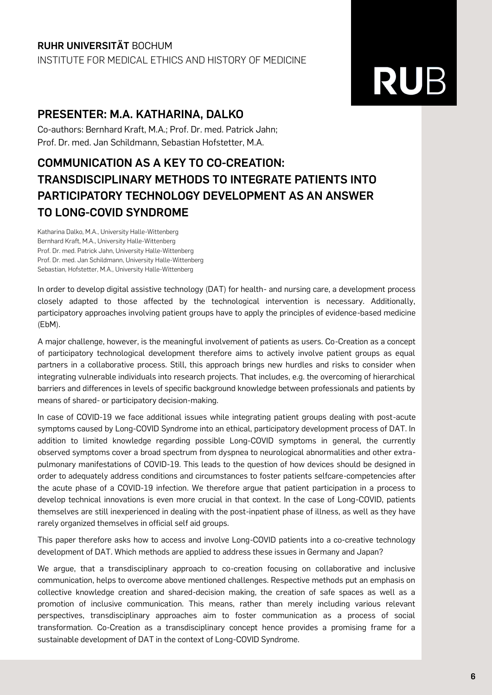#### **RUHR UNIVERSITÄT** BOCHUM INSTITUTE FOR MEDICAL ETHICS AND HISTORY OF MEDICINE

## **RUB**

### **PRESENTER: M.A. KATHARINA, DALKO**

Co-authors: Bernhard Kraft, M.A.; Prof. Dr. med. Patrick Jahn; Prof. Dr. med. Jan Schildmann, Sebastian Hofstetter, M.A.

### **COMMUNICATION AS A KEY TO CO-CREATION: TRANSDISCIPLINARY METHODS TO INTEGRATE PATIENTS INTO PARTICIPATORY TECHNOLOGY DEVELOPMENT AS AN ANSWER TO LONG-COVID SYNDROME**

Katharina Dalko, M.A., University Halle-Wittenberg Bernhard Kraft, M.A., University Halle-Wittenberg Prof. Dr. med. Patrick Jahn, University Halle-Wittenberg Prof. Dr. med. Jan Schildmann, University Halle-Wittenberg Sebastian, Hofstetter, M.A., University Halle-Wittenberg

In order to develop digital assistive technology (DAT) for health- and nursing care, a development process closely adapted to those affected by the technological intervention is necessary. Additionally, participatory approaches involving patient groups have to apply the principles of evidence-based medicine (EbM).

A major challenge, however, is the meaningful involvement of patients as users. Co-Creation as a concept of participatory technological development therefore aims to actively involve patient groups as equal partners in a collaborative process. Still, this approach brings new hurdles and risks to consider when integrating vulnerable individuals into research projects. That includes, e.g. the overcoming of hierarchical barriers and differences in levels of specific background knowledge between professionals and patients by means of shared- or participatory decision-making.

In case of COVID-19 we face additional issues while integrating patient groups dealing with post-acute symptoms caused by Long-COVID Syndrome into an ethical, participatory development process of DAT. In addition to limited knowledge regarding possible Long-COVID symptoms in general, the currently observed symptoms cover a broad spectrum from dyspnea to neurological abnormalities and other extrapulmonary manifestations of COVID-19. This leads to the question of how devices should be designed in order to adequately address conditions and circumstances to foster patients selfcare-competencies after the acute phase of a COVID-19 infection. We therefore argue that patient participation in a process to develop technical innovations is even more crucial in that context. In the case of Long-COVID, patients themselves are still inexperienced in dealing with the post-inpatient phase of illness, as well as they have rarely organized themselves in official self aid groups.

This paper therefore asks how to access and involve Long-COVID patients into a co-creative technology development of DAT. Which methods are applied to address these issues in Germany and Japan?

We argue, that a transdisciplinary approach to co-creation focusing on collaborative and inclusive communication, helps to overcome above mentioned challenges. Respective methods put an emphasis on collective knowledge creation and shared-decision making, the creation of safe spaces as well as a promotion of inclusive communication. This means, rather than merely including various relevant perspectives, transdisciplinary approaches aim to foster communication as a process of social transformation. Co-Creation as a transdisciplinary concept hence provides a promising frame for a sustainable development of DAT in the context of Long-COVID Syndrome.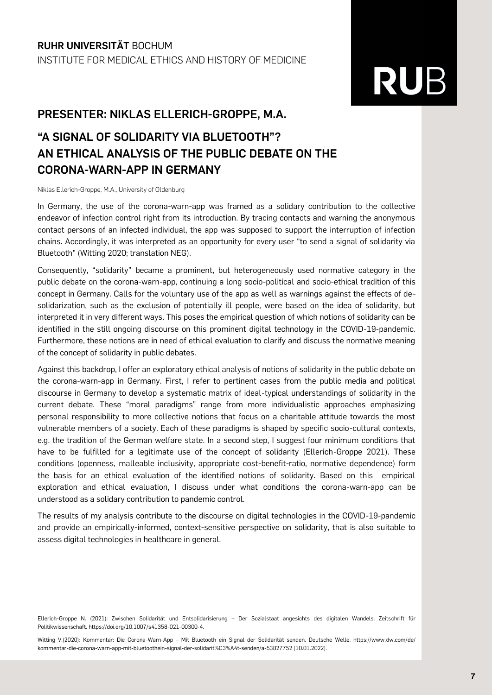#### **PRESENTER: NIKLAS ELLERICH-GROPPE, M.A.**

## **"A SIGNAL OF SOLIDARITY VIA BLUETOOTH"? AN ETHICAL ANALYSIS OF THE PUBLIC DEBATE ON THE CORONA-WARN-APP IN GERMANY**

Niklas Ellerich-Groppe, M.A., University of Oldenburg

In Germany, the use of the corona-warn-app was framed as a solidary contribution to the collective endeavor of infection control right from its introduction. By tracing contacts and warning the anonymous contact persons of an infected individual, the app was supposed to support the interruption of infection chains. Accordingly, it was interpreted as an opportunity for every user "to send a signal of solidarity via Bluetooth" (Witting 2020; translation NEG).

Consequently, "solidarity" became a prominent, but heterogeneously used normative category in the public debate on the corona-warn-app, continuing a long socio-political and socio-ethical tradition of this concept in Germany. Calls for the voluntary use of the app as well as warnings against the effects of desolidarization, such as the exclusion of potentially ill people, were based on the idea of solidarity, but interpreted it in very different ways. This poses the empirical question of which notions of solidarity can be identified in the still ongoing discourse on this prominent digital technology in the COVID-19-pandemic. Furthermore, these notions are in need of ethical evaluation to clarify and discuss the normative meaning of the concept of solidarity in public debates.

Against this backdrop, I offer an exploratory ethical analysis of notions of solidarity in the public debate on the corona-warn-app in Germany. First, I refer to pertinent cases from the public media and political discourse in Germany to develop a systematic matrix of ideal-typical understandings of solidarity in the current debate. These "moral paradigms" range from more individualistic approaches emphasizing personal responsibility to more collective notions that focus on a charitable attitude towards the most vulnerable members of a society. Each of these paradigms is shaped by specific socio-cultural contexts, e.g. the tradition of the German welfare state. In a second step, I suggest four minimum conditions that have to be fulfilled for a legitimate use of the concept of solidarity (Ellerich-Groppe 2021). These conditions (openness, malleable inclusivity, appropriate cost-benefit-ratio, normative dependence) form the basis for an ethical evaluation of the identified notions of solidarity. Based on this empirical exploration and ethical evaluation, I discuss under what conditions the corona-warn-app can be understood as a solidary contribution to pandemic control.

The results of my analysis contribute to the discourse on digital technologies in the COVID-19-pandemic and provide an empirically-informed, context-sensitive perspective on solidarity, that is also suitable to assess digital technologies in healthcare in general.

Ellerich-Groppe N. (2021): Zwischen Solidarität und Entsolidarisierung – Der Sozialstaat angesichts des digitalen Wandels. Zeitschrift für Politikwissenschaft. https://doi.org/10.1007/s41358-021-00300-4.

Witting V.(2020): Kommentar: Die Corona-Warn-App – Mit Bluetooth ein Signal der Solidarität senden. Deutsche Welle. https://www.dw.com/de/ kommentar-die-corona-warn-app-mit-bluetoothein-signal-der-solidarit%C3%A4t-senden/a-53827752 (10.01.2022).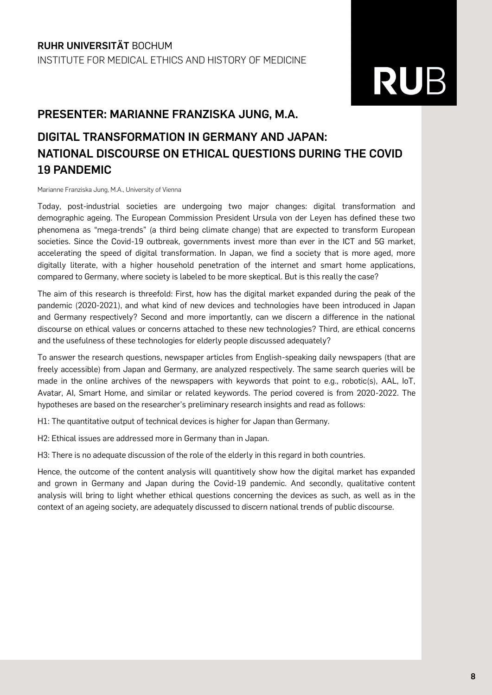#### **PRESENTER: MARIANNE FRANZISKA JUNG, M.A.**

## **DIGITAL TRANSFORMATION IN GERMANY AND JAPAN: NATIONAL DISCOURSE ON ETHICAL QUESTIONS DURING THE COVID 19 PANDEMIC**

Marianne Franziska Jung, M.A., University of Vienna

Today, post-industrial societies are undergoing two major changes: digital transformation and demographic ageing. The European Commission President Ursula von der Leyen has defined these two phenomena as "mega-trends" (a third being climate change) that are expected to transform European societies. Since the Covid-19 outbreak, governments invest more than ever in the ICT and 5G market, accelerating the speed of digital transformation. In Japan, we find a society that is more aged, more digitally literate, with a higher household penetration of the internet and smart home applications, compared to Germany, where society is labeled to be more skeptical. But is this really the case?

The aim of this research is threefold: First, how has the digital market expanded during the peak of the pandemic (2020-2021), and what kind of new devices and technologies have been introduced in Japan and Germany respectively? Second and more importantly, can we discern a difference in the national discourse on ethical values or concerns attached to these new technologies? Third, are ethical concerns and the usefulness of these technologies for elderly people discussed adequately?

To answer the research questions, newspaper articles from English-speaking daily newspapers (that are freely accessible) from Japan and Germany, are analyzed respectively. The same search queries will be made in the online archives of the newspapers with keywords that point to e.g., robotic(s), AAL, IoT, Avatar, AI, Smart Home, and similar or related keywords. The period covered is from 2020-2022. The hypotheses are based on the researcher's preliminary research insights and read as follows:

H1: The quantitative output of technical devices is higher for Japan than Germany.

H2: Ethical issues are addressed more in Germany than in Japan.

H3: There is no adequate discussion of the role of the elderly in this regard in both countries.

Hence, the outcome of the content analysis will quantitively show how the digital market has expanded and grown in Germany and Japan during the Covid-19 pandemic. And secondly, qualitative content analysis will bring to light whether ethical questions concerning the devices as such, as well as in the context of an ageing society, are adequately discussed to discern national trends of public discourse.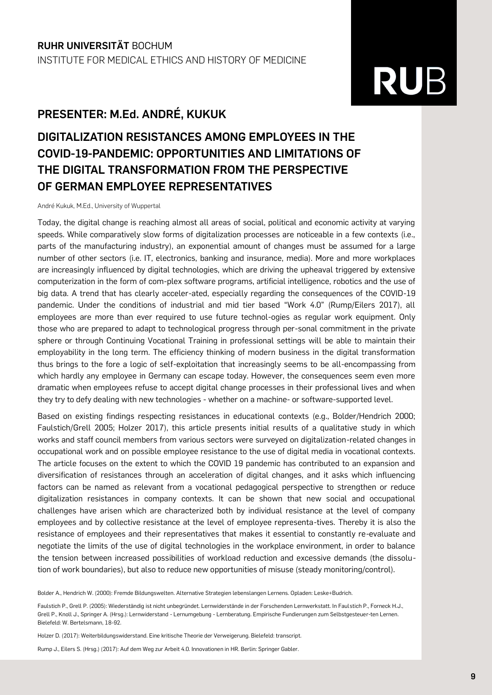#### **PRESENTER: M.Ed. ANDRÉ, KUKUK**

### **DIGITALIZATION RESISTANCES AMONG EMPLOYEES IN THE COVID-19-PANDEMIC: OPPORTUNITIES AND LIMITATIONS OF THE DIGITAL TRANSFORMATION FROM THE PERSPECTIVE OF GERMAN EMPLOYEE REPRESENTATIVES**

André Kukuk, M.Ed., University of Wuppertal

Today, the digital change is reaching almost all areas of social, political and economic activity at varying speeds. While comparatively slow forms of digitalization processes are noticeable in a few contexts (i.e., parts of the manufacturing industry), an exponential amount of changes must be assumed for a large number of other sectors (i.e. IT, electronics, banking and insurance, media). More and more workplaces are increasingly influenced by digital technologies, which are driving the upheaval triggered by extensive computerization in the form of com-plex software programs, artificial intelligence, robotics and the use of big data. A trend that has clearly acceler-ated, especially regarding the consequences of the COVID-19 pandemic. Under the conditions of industrial and mid tier based "Work 4.0" (Rump/Eilers 2017), all employees are more than ever required to use future technol-ogies as regular work equipment. Only those who are prepared to adapt to technological progress through per-sonal commitment in the private sphere or through Continuing Vocational Training in professional settings will be able to maintain their employability in the long term. The efficiency thinking of modern business in the digital transformation thus brings to the fore a logic of self-exploitation that increasingly seems to be all-encompassing from which hardly any employee in Germany can escape today. However, the consequences seem even more dramatic when employees refuse to accept digital change processes in their professional lives and when they try to defy dealing with new technologies - whether on a machine- or software-supported level.

Based on existing findings respecting resistances in educational contexts (e.g., Bolder/Hendrich 2000; Faulstich/Grell 2005; Holzer 2017), this article presents initial results of a qualitative study in which works and staff council members from various sectors were surveyed on digitalization-related changes in occupational work and on possible employee resistance to the use of digital media in vocational contexts. The article focuses on the extent to which the COVID 19 pandemic has contributed to an expansion and diversification of resistances through an acceleration of digital changes, and it asks which influencing factors can be named as relevant from a vocational pedagogical perspective to strengthen or reduce digitalization resistances in company contexts. It can be shown that new social and occupational challenges have arisen which are characterized both by individual resistance at the level of company employees and by collective resistance at the level of employee representa-tives. Thereby it is also the resistance of employees and their representatives that makes it essential to constantly re-evaluate and negotiate the limits of the use of digital technologies in the workplace environment, in order to balance the tension between increased possibilities of workload reduction and excessive demands (the dissolution of work boundaries), but also to reduce new opportunities of misuse (steady monitoring/control).

Bolder A., Hendrich W. (2000): Fremde Bildungswelten. Alternative Strategien lebenslangen Lernens. Opladen: Leske+Budrich.

Faulstich P., Grell P. (2005): Wiederständig ist nicht unbegründet. Lernwiderstände in der Forschenden Lernwerkstatt. In Faulstich P., Forneck H.J., Grell P., Knoll J., Springer A. (Hrsg.): Lernwiderstand - Lernumgebung - Lernberatung. Empirische Fundierungen zum Selbstgesteuer-ten Lernen. Bielefeld: W. Bertelsmann, 18-92.

Holzer D. (2017): Weiterbildungswiderstand. Eine kritische Theorie der Verweigerung. Bielefeld: transcript.

Rump J., Eilers S. (Hrsg.) (2017): Auf dem Weg zur Arbeit 4.0. Innovationen in HR. Berlin: Springer Gabler.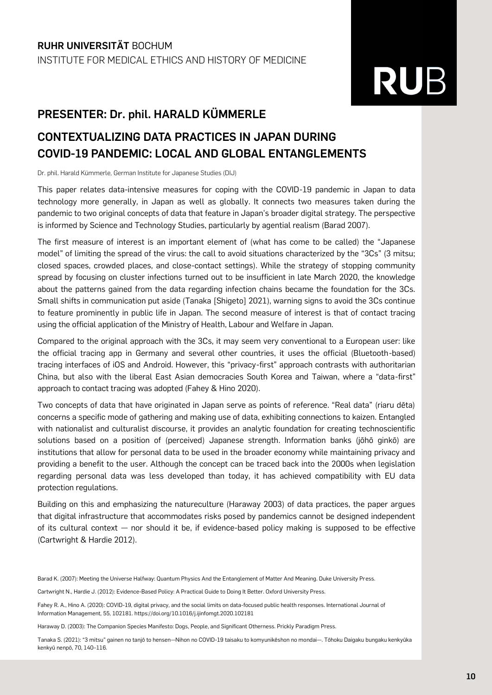### **PRESENTER: Dr. phil. HARALD KÜMMERLE**

### **CONTEXTUALIZING DATA PRACTICES IN JAPAN DURING COVID-19 PANDEMIC: LOCAL AND GLOBAL ENTANGLEMENTS**

Dr. phil. Harald Kümmerle, German Institute for Japanese Studies (DIJ)

This paper relates data-intensive measures for coping with the COVID-19 pandemic in Japan to data technology more generally, in Japan as well as globally. It connects two measures taken during the pandemic to two original concepts of data that feature in Japan's broader digital strategy. The perspective is informed by Science and Technology Studies, particularly by agential realism (Barad 2007).

The first measure of interest is an important element of (what has come to be called) the "Japanese model" of limiting the spread of the virus: the call to avoid situations characterized by the "3Cs" (3 mitsu; closed spaces, crowded places, and close-contact settings). While the strategy of stopping community spread by focusing on cluster infections turned out to be insufficient in late March 2020, the knowledge about the patterns gained from the data regarding infection chains became the foundation for the 3Cs. Small shifts in communication put aside (Tanaka [Shigeto] 2021), warning signs to avoid the 3Cs continue to feature prominently in public life in Japan. The second measure of interest is that of contact tracing using the official application of the Ministry of Health, Labour and Welfare in Japan.

Compared to the original approach with the 3Cs, it may seem very conventional to a European user: like the official tracing app in Germany and several other countries, it uses the official (Bluetooth-based) tracing interfaces of iOS and Android. However, this "privacy-first" approach contrasts with authoritarian China, but also with the liberal East Asian democracies South Korea and Taiwan, where a "data-first" approach to contact tracing was adopted (Fahey & Hino 2020).

Two concepts of data that have originated in Japan serve as points of reference. "Real data" (riaru dēta) concerns a specific mode of gathering and making use of data, exhibiting connections to kaizen. Entangled with nationalist and culturalist discourse, it provides an analytic foundation for creating technoscientific solutions based on a position of (perceived) Japanese strength. Information banks (jōhō ginkō) are institutions that allow for personal data to be used in the broader economy while maintaining privacy and providing a benefit to the user. Although the concept can be traced back into the 2000s when legislation regarding personal data was less developed than today, it has achieved compatibility with EU data protection regulations.

Building on this and emphasizing the natureculture (Haraway 2003) of data practices, the paper argues that digital infrastructure that accommodates risks posed by pandemics cannot be designed independent of its cultural context  $-$  nor should it be, if evidence-based policy making is supposed to be effective (Cartwright & Hardie 2012).

Barad K. (2007): Meeting the Universe Halfway: Quantum Physics And the Entanglement of Matter And Meaning. Duke University Press.

Cartwright N., Hardie J. (2012): Evidence-Based Policy: A Practical Guide to Doing It Better. Oxford University Press.

Fahey R. A., Hino A. (2020): COVID-19, digital privacy, and the social limits on data-focused public health responses. International Journal of Information Management, 55, 102181. https://doi.org/10.1016/j.ijinfomgt.2020.102181

Haraway D. (2003): The Companion Species Manifesto: Dogs, People, and Significant Otherness. Prickly Paradigm Press.

Tanaka S. (2021): "3 mitsu" gainen no tanjō to hensen—Nihon no COVID-19 taisaku to komyunikēshon no mondai—. Tōhoku Daigaku bungaku kenkyūka kenkyū nenpō, 70, 140–116.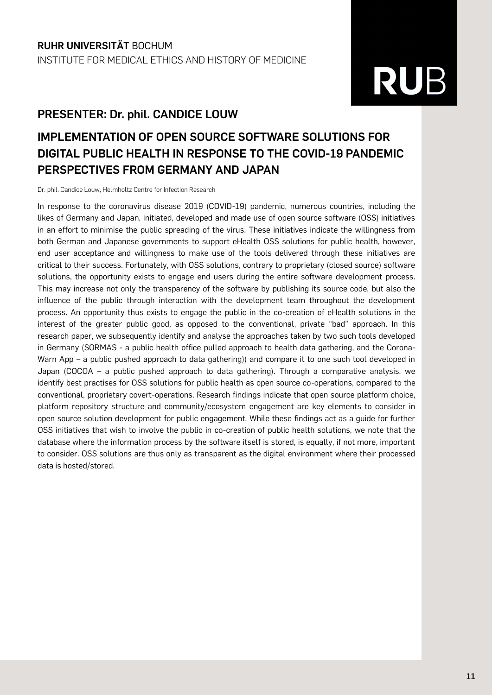#### **PRESENTER: Dr. phil. CANDICE LOUW**

## **IMPLEMENTATION OF OPEN SOURCE SOFTWARE SOLUTIONS FOR DIGITAL PUBLIC HEALTH IN RESPONSE TO THE COVID-19 PANDEMIC PERSPECTIVES FROM GERMANY AND JAPAN**

Dr. phil. Candice Louw, Helmholtz Centre for Infection Research

In response to the coronavirus disease 2019 (COVID-19) pandemic, numerous countries, including the likes of Germany and Japan, initiated, developed and made use of open source software (OSS) initiatives in an effort to minimise the public spreading of the virus. These initiatives indicate the willingness from both German and Japanese governments to support eHealth OSS solutions for public health, however, end user acceptance and willingness to make use of the tools delivered through these initiatives are critical to their success. Fortunately, with OSS solutions, contrary to proprietary (closed source) software solutions, the opportunity exists to engage end users during the entire software development process. This may increase not only the transparency of the software by publishing its source code, but also the influence of the public through interaction with the development team throughout the development process. An opportunity thus exists to engage the public in the co-creation of eHealth solutions in the interest of the greater public good, as opposed to the conventional, private "bad" approach. In this research paper, we subsequently identify and analyse the approaches taken by two such tools developed in Germany (SORMAS - a public health office pulled approach to health data gathering, and the Corona-Warn App – a public pushed approach to data gathering)) and compare it to one such tool developed in Japan (COCOA – a public pushed approach to data gathering). Through a comparative analysis, we identify best practises for OSS solutions for public health as open source co-operations, compared to the conventional, proprietary covert-operations. Research findings indicate that open source platform choice, platform repository structure and community/ecosystem engagement are key elements to consider in open source solution development for public engagement. While these findings act as a guide for further OSS initiatives that wish to involve the public in co-creation of public health solutions, we note that the database where the information process by the software itself is stored, is equally, if not more, important to consider. OSS solutions are thus only as transparent as the digital environment where their processed data is hosted/stored.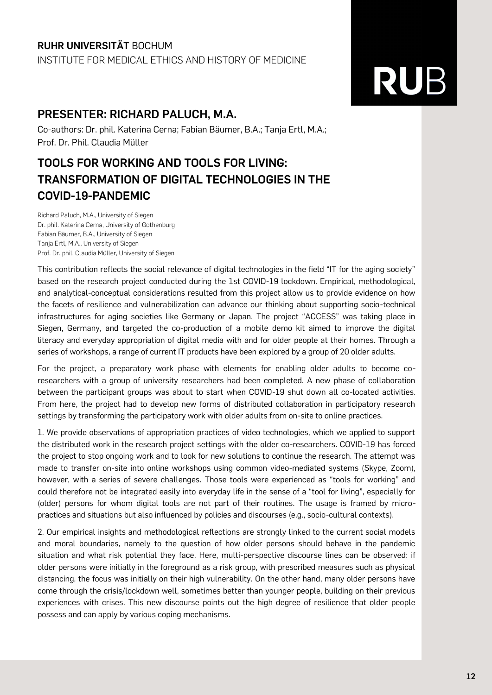#### **RUHR UNIVERSITÄT** BOCHUM

INSTITUTE FOR MEDICAL ETHICS AND HISTORY OF MEDICINE

### **PRESENTER: RICHARD PALUCH, M.A.**

Co-authors: Dr. phil. Katerina Cerna; Fabian Bäumer, B.A.; Tanja Ertl, M.A.; Prof. Dr. Phil. Claudia Müller

### **TOOLS FOR WORKING AND TOOLS FOR LIVING: TRANSFORMATION OF DIGITAL TECHNOLOGIES IN THE COVID-19-PANDEMIC**

Richard Paluch, M.A., University of Siegen Dr. phil. Katerina Cerna, University of Gothenburg Fabian Bäumer, B.A., University of Siegen Tanja Ertl, M.A., University of Siegen Prof. Dr. phil. Claudia Müller, University of Siegen

This contribution reflects the social relevance of digital technologies in the field "IT for the aging society" based on the research project conducted during the 1st COVID-19 lockdown. Empirical, methodological, and analytical-conceptual considerations resulted from this project allow us to provide evidence on how the facets of resilience and vulnerabilization can advance our thinking about supporting socio-technical infrastructures for aging societies like Germany or Japan. The project "ACCESS" was taking place in Siegen, Germany, and targeted the co-production of a mobile demo kit aimed to improve the digital literacy and everyday appropriation of digital media with and for older people at their homes. Through a series of workshops, a range of current IT products have been explored by a group of 20 older adults.

For the project, a preparatory work phase with elements for enabling older adults to become coresearchers with a group of university researchers had been completed. A new phase of collaboration between the participant groups was about to start when COVID-19 shut down all co-located activities. From here, the project had to develop new forms of distributed collaboration in participatory research settings by transforming the participatory work with older adults from on-site to online practices.

1. We provide observations of appropriation practices of video technologies, which we applied to support the distributed work in the research project settings with the older co-researchers. COVID-19 has forced the project to stop ongoing work and to look for new solutions to continue the research. The attempt was made to transfer on-site into online workshops using common video-mediated systems (Skype, Zoom), however, with a series of severe challenges. Those tools were experienced as "tools for working" and could therefore not be integrated easily into everyday life in the sense of a "tool for living", especially for (older) persons for whom digital tools are not part of their routines. The usage is framed by micropractices and situations but also influenced by policies and discourses (e.g., socio-cultural contexts).

2. Our empirical insights and methodological reflections are strongly linked to the current social models and moral boundaries, namely to the question of how older persons should behave in the pandemic situation and what risk potential they face. Here, multi-perspective discourse lines can be observed: if older persons were initially in the foreground as a risk group, with prescribed measures such as physical distancing, the focus was initially on their high vulnerability. On the other hand, many older persons have come through the crisis/lockdown well, sometimes better than younger people, building on their previous experiences with crises. This new discourse points out the high degree of resilience that older people possess and can apply by various coping mechanisms.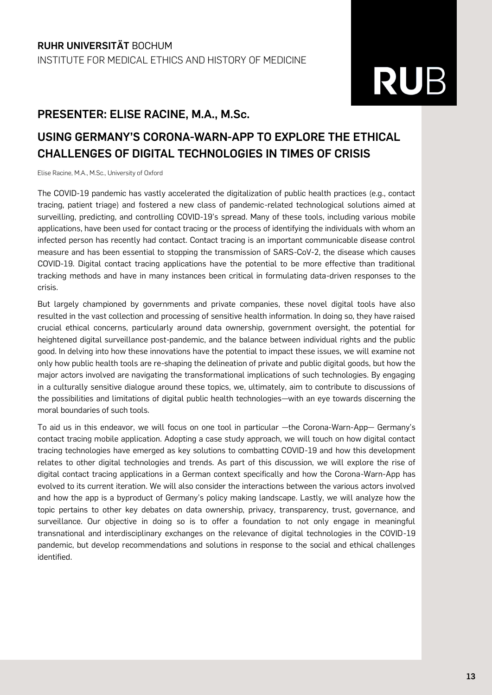### **PRESENTER: ELISE RACINE, M.A., M.Sc.**

### **USING GERMANY'S CORONA-WARN-APP TO EXPLORE THE ETHICAL CHALLENGES OF DIGITAL TECHNOLOGIES IN TIMES OF CRISIS**

Elise Racine, M.A., M.Sc., University of Oxford

The COVID-19 pandemic has vastly accelerated the digitalization of public health practices (e.g., contact tracing, patient triage) and fostered a new class of pandemic-related technological solutions aimed at surveilling, predicting, and controlling COVID-19's spread. Many of these tools, including various mobile applications, have been used for contact tracing or the process of identifying the individuals with whom an infected person has recently had contact. Contact tracing is an important communicable disease control measure and has been essential to stopping the transmission of SARS-CoV-2, the disease which causes COVID-19. Digital contact tracing applications have the potential to be more effective than traditional tracking methods and have in many instances been critical in formulating data-driven responses to the crisis.

But largely championed by governments and private companies, these novel digital tools have also resulted in the vast collection and processing of sensitive health information. In doing so, they have raised crucial ethical concerns, particularly around data ownership, government oversight, the potential for heightened digital surveillance post-pandemic, and the balance between individual rights and the public good. In delving into how these innovations have the potential to impact these issues, we will examine not only how public health tools are re-shaping the delineation of private and public digital goods, but how the major actors involved are navigating the transformational implications of such technologies. By engaging in a culturally sensitive dialogue around these topics, we, ultimately, aim to contribute to discussions of the possibilities and limitations of digital public health technologies—with an eye towards discerning the moral boundaries of such tools.

To aid us in this endeavor, we will focus on one tool in particular —the Corona-Warn-App— Germany's contact tracing mobile application. Adopting a case study approach, we will touch on how digital contact tracing technologies have emerged as key solutions to combatting COVID-19 and how this development relates to other digital technologies and trends. As part of this discussion, we will explore the rise of digital contact tracing applications in a German context specifically and how the Corona-Warn-App has evolved to its current iteration. We will also consider the interactions between the various actors involved and how the app is a byproduct of Germany's policy making landscape. Lastly, we will analyze how the topic pertains to other key debates on data ownership, privacy, transparency, trust, governance, and surveillance. Our objective in doing so is to offer a foundation to not only engage in meaningful transnational and interdisciplinary exchanges on the relevance of digital technologies in the COVID-19 pandemic, but develop recommendations and solutions in response to the social and ethical challenges identified.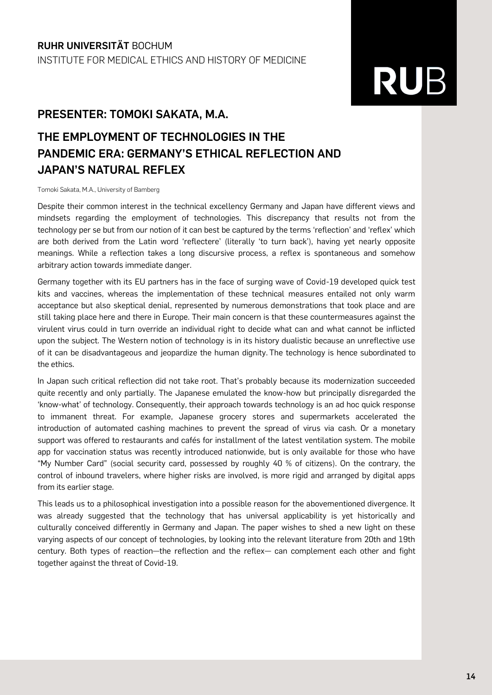#### **PRESENTER: TOMOKI SAKATA, M.A.**

## **THE EMPLOYMENT OF TECHNOLOGIES IN THE PANDEMIC ERA: GERMANY'S ETHICAL REFLECTION AND JAPAN'S NATURAL REFLEX**

Tomoki Sakata, M.A., University of Bamberg

Despite their common interest in the technical excellency Germany and Japan have different views and mindsets regarding the employment of technologies. This discrepancy that results not from the technology per se but from our notion of it can best be captured by the terms 'reflection' and 'reflex' which are both derived from the Latin word 'reflectere' (literally 'to turn back'), having yet nearly opposite meanings. While a reflection takes a long discursive process, a reflex is spontaneous and somehow arbitrary action towards immediate danger.

Germany together with its EU partners has in the face of surging wave of Covid-19 developed quick test kits and vaccines, whereas the implementation of these technical measures entailed not only warm acceptance but also skeptical denial, represented by numerous demonstrations that took place and are still taking place here and there in Europe. Their main concern is that these countermeasures against the virulent virus could in turn override an individual right to decide what can and what cannot be inflicted upon the subject. The Western notion of technology is in its history dualistic because an unreflective use of it can be disadvantageous and jeopardize the human dignity. The technology is hence subordinated to the ethics.

In Japan such critical reflection did not take root. That's probably because its modernization succeeded quite recently and only partially. The Japanese emulated the know-how but principally disregarded the 'know-what' of technology. Consequently, their approach towards technology is an ad hoc quick response to immanent threat. For example, Japanese grocery stores and supermarkets accelerated the introduction of automated cashing machines to prevent the spread of virus via cash. Or a monetary support was offered to restaurants and cafés for installment of the latest ventilation system. The mobile app for vaccination status was recently introduced nationwide, but is only available for those who have "My Number Card" (social security card, possessed by roughly 40 % of citizens). On the contrary, the control of inbound travelers, where higher risks are involved, is more rigid and arranged by digital apps from its earlier stage.

This leads us to a philosophical investigation into a possible reason for the abovementioned divergence. It was already suggested that the technology that has universal applicability is yet historically and culturally conceived differently in Germany and Japan. The paper wishes to shed a new light on these varying aspects of our concept of technologies, by looking into the relevant literature from 20th and 19th century. Both types of reaction—the reflection and the reflex— can complement each other and fight together against the threat of Covid-19.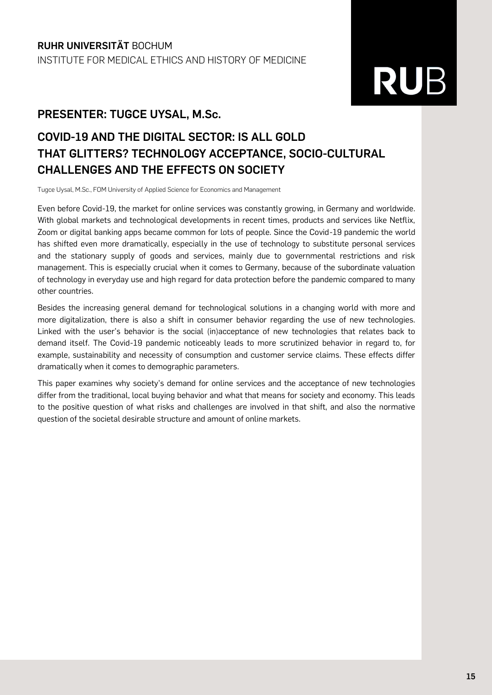#### **PRESENTER: TUGCE UYSAL, M.Sc.**

## **COVID-19 AND THE DIGITAL SECTOR: IS ALL GOLD THAT GLITTERS? TECHNOLOGY ACCEPTANCE, SOCIO-CULTURAL CHALLENGES AND THE EFFECTS ON SOCIETY**

Tugce Uysal, M.Sc., FOM University of Applied Science for Economics and Management

Even before Covid-19, the market for online services was constantly growing, in Germany and worldwide. With global markets and technological developments in recent times, products and services like Netflix, Zoom or digital banking apps became common for lots of people. Since the Covid-19 pandemic the world has shifted even more dramatically, especially in the use of technology to substitute personal services and the stationary supply of goods and services, mainly due to governmental restrictions and risk management. This is especially crucial when it comes to Germany, because of the subordinate valuation of technology in everyday use and high regard for data protection before the pandemic compared to many other countries.

Besides the increasing general demand for technological solutions in a changing world with more and more digitalization, there is also a shift in consumer behavior regarding the use of new technologies. Linked with the user's behavior is the social (in)acceptance of new technologies that relates back to demand itself. The Covid-19 pandemic noticeably leads to more scrutinized behavior in regard to, for example, sustainability and necessity of consumption and customer service claims. These effects differ dramatically when it comes to demographic parameters.

This paper examines why society's demand for online services and the acceptance of new technologies differ from the traditional, local buying behavior and what that means for society and economy. This leads to the positive question of what risks and challenges are involved in that shift, and also the normative question of the societal desirable structure and amount of online markets.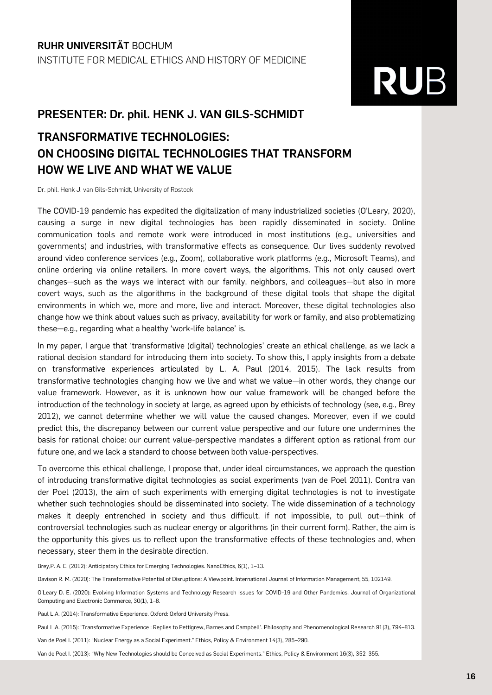#### **PRESENTER: Dr. phil. HENK J. VAN GILS-SCHMIDT**

### **TRANSFORMATIVE TECHNOLOGIES: ON CHOOSING DIGITAL TECHNOLOGIES THAT TRANSFORM HOW WE LIVE AND WHAT WE VALUE**

Dr. phil. Henk J. van Gils-Schmidt, University of Rostock

The COVID-19 pandemic has expedited the digitalization of many industrialized societies (O'Leary, 2020), causing a surge in new digital technologies has been rapidly disseminated in society. Online communication tools and remote work were introduced in most institutions (e.g., universities and governments) and industries, with transformative effects as consequence. Our lives suddenly revolved around video conference services (e.g., Zoom), collaborative work platforms (e.g., Microsoft Teams), and online ordering via online retailers. In more covert ways, the algorithms. This not only caused overt changes—such as the ways we interact with our family, neighbors, and colleagues—but also in more covert ways, such as the algorithms in the background of these digital tools that shape the digital environments in which we, more and more, live and interact. Moreover, these digital technologies also change how we think about values such as privacy, availability for work or family, and also problematizing these—e.g., regarding what a healthy 'work-life balance' is.

In my paper, I argue that 'transformative (digital) technologies' create an ethical challenge, as we lack a rational decision standard for introducing them into society. To show this, I apply insights from a debate on transformative experiences articulated by L. A. Paul (2014, 2015). The lack results from transformative technologies changing how we live and what we value—in other words, they change our value framework. However, as it is unknown how our value framework will be changed before the introduction of the technology in society at large, as agreed upon by ethicists of technology (see, e.g., Brey 2012), we cannot determine whether we will value the caused changes. Moreover, even if we could predict this, the discrepancy between our current value perspective and our future one undermines the basis for rational choice: our current value-perspective mandates a different option as rational from our future one, and we lack a standard to choose between both value-perspectives.

To overcome this ethical challenge, I propose that, under ideal circumstances, we approach the question of introducing transformative digital technologies as social experiments (van de Poel 2011). Contra van der Poel (2013), the aim of such experiments with emerging digital technologies is not to investigate whether such technologies should be disseminated into society. The wide dissemination of a technology makes it deeply entrenched in society and thus difficult, if not impossible, to pull out—think of controversial technologies such as nuclear energy or algorithms (in their current form). Rather, the aim is the opportunity this gives us to reflect upon the transformative effects of these technologies and, when necessary, steer them in the desirable direction.

Brey, P. A. E. (2012): Anticipatory Ethics for Emerging Technologies, NanoEthics, 6(1), 1-13.

Davison R. M. (2020): The Transformative Potential of Disruptions: A Viewpoint. International Journal of Information Management, 55, 102149.

O'Leary D. E. (2020): Evolving Information Systems and Technology Research Issues for COVID-19 and Other Pandemics. Journal of Organizational Computing and Electronic Commerce, 30(1), 1–8.

Paul L.A. (2014): Transformative Experience. Oxford: Oxford University Press.

Paul L.A. (2015): 'Transformative Experience : Replies to Pettigrew, Barnes and Campbell'. Philosophy and Phenomenological Research 91(3), 794–813.

Van de Poel I. (2011): "Nuclear Energy as a Social Experiment." Ethics, Policy & Environment 14(3), 285–290.

Van de Poel I. (2013): "Why New Technologies should be Conceived as Social Experiments." Ethics, Policy & Environment 16(3), 352–355.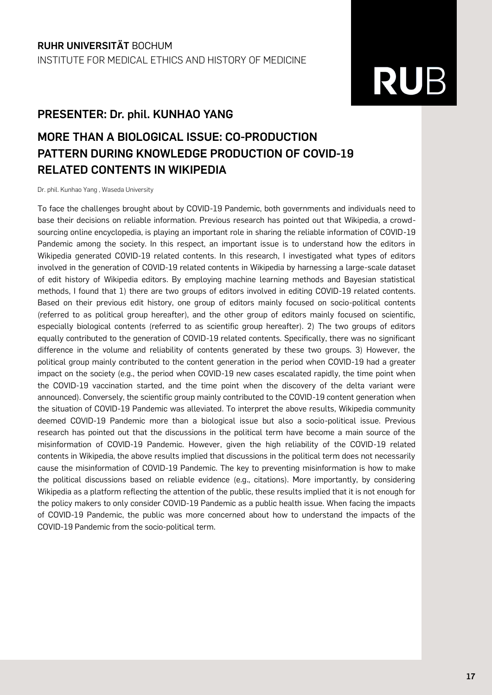#### **PRESENTER: Dr. phil. KUNHAO YANG**

### **MORE THAN A BIOLOGICAL ISSUE: CO-PRODUCTION PATTERN DURING KNOWLEDGE PRODUCTION OF COVID-19 RELATED CONTENTS IN WIKIPEDIA**

Dr. phil. Kunhao Yang , Waseda University

To face the challenges brought about by COVID-19 Pandemic, both governments and individuals need to base their decisions on reliable information. Previous research has pointed out that Wikipedia, a crowdsourcing online encyclopedia, is playing an important role in sharing the reliable information of COVID-19 Pandemic among the society. In this respect, an important issue is to understand how the editors in Wikipedia generated COVID-19 related contents. In this research, I investigated what types of editors involved in the generation of COVID-19 related contents in Wikipedia by harnessing a large-scale dataset of edit history of Wikipedia editors. By employing machine learning methods and Bayesian statistical methods, I found that 1) there are two groups of editors involved in editing COVID-19 related contents. Based on their previous edit history, one group of editors mainly focused on socio-political contents (referred to as political group hereafter), and the other group of editors mainly focused on scientific, especially biological contents (referred to as scientific group hereafter). 2) The two groups of editors equally contributed to the generation of COVID-19 related contents. Specifically, there was no significant difference in the volume and reliability of contents generated by these two groups. 3) However, the political group mainly contributed to the content generation in the period when COVID-19 had a greater impact on the society (e.g., the period when COVID-19 new cases escalated rapidly, the time point when the COVID-19 vaccination started, and the time point when the discovery of the delta variant were announced). Conversely, the scientific group mainly contributed to the COVID-19 content generation when the situation of COVID-19 Pandemic was alleviated. To interpret the above results, Wikipedia community deemed COVID-19 Pandemic more than a biological issue but also a socio-political issue. Previous research has pointed out that the discussions in the political term have become a main source of the misinformation of COVID-19 Pandemic. However, given the high reliability of the COVID-19 related contents in Wikipedia, the above results implied that discussions in the political term does not necessarily cause the misinformation of COVID-19 Pandemic. The key to preventing misinformation is how to make the political discussions based on reliable evidence (e.g., citations). More importantly, by considering Wikipedia as a platform reflecting the attention of the public, these results implied that it is not enough for the policy makers to only consider COVID-19 Pandemic as a public health issue. When facing the impacts of COVID-19 Pandemic, the public was more concerned about how to understand the impacts of the COVID-19 Pandemic from the socio-political term.